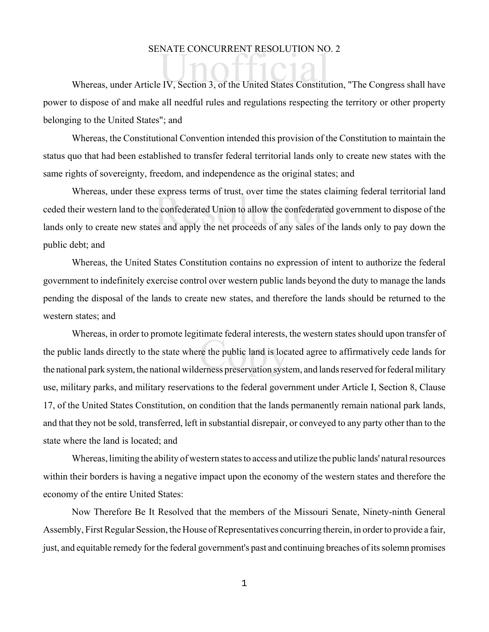## SENATE CONCURRENT RESOLUTION NO. 2

SENATE CONCORKENT RESOLUTION NO. 2<br>Whereas, under Article IV, Section 3, of the United States Constitution, "The Congress shall have power to dispose of and make all needful rules and regulations respecting the territory or other property belonging to the United States"; and

Whereas, the Constitutional Convention intended this provision of the Constitution to maintain the status quo that had been established to transfer federal territorial lands only to create new states with the same rights of sovereignty, freedom, and independence as the original states; and

express terms of trust, over time the states cla<br>e confederated Union to allow the confederated<br>es and apply the net proceeds of any sales of th Whereas, under these express terms of trust, over time the states claiming federal territorial land ceded their western land to the confederated Union to allow the confederated government to dispose of the lands only to create new states and apply the net proceeds of any sales of the lands only to pay down the public debt; and

Whereas, the United States Constitution contains no expression of intent to authorize the federal government to indefinitely exercise control over western public lands beyond the duty to manage the lands pending the disposal of the lands to create new states, and therefore the lands should be returned to the western states; and

rimate returnal merests,<br>re the public land is locations<br>erness preservation syste Whereas, in order to promote legitimate federal interests, the western states should upon transfer of the public lands directly to the state where the public land is located agree to affirmatively cede lands for the national park system, the national wilderness preservation system, and lands reserved for federal military use, military parks, and military reservations to the federal government under Article I, Section 8, Clause 17, of the United States Constitution, on condition that the lands permanently remain national park lands, and that they not be sold, transferred, left in substantial disrepair, or conveyed to any party other than to the state where the land is located; and

Whereas, limiting the ability of western states to access and utilize the public lands' natural resources within their borders is having a negative impact upon the economy of the western states and therefore the economy of the entire United States:

Now Therefore Be It Resolved that the members of the Missouri Senate, Ninety-ninth General Assembly, First Regular Session, the House of Representatives concurring therein, in order to provide a fair, just, and equitable remedy for the federal government's past and continuing breaches of its solemn promises